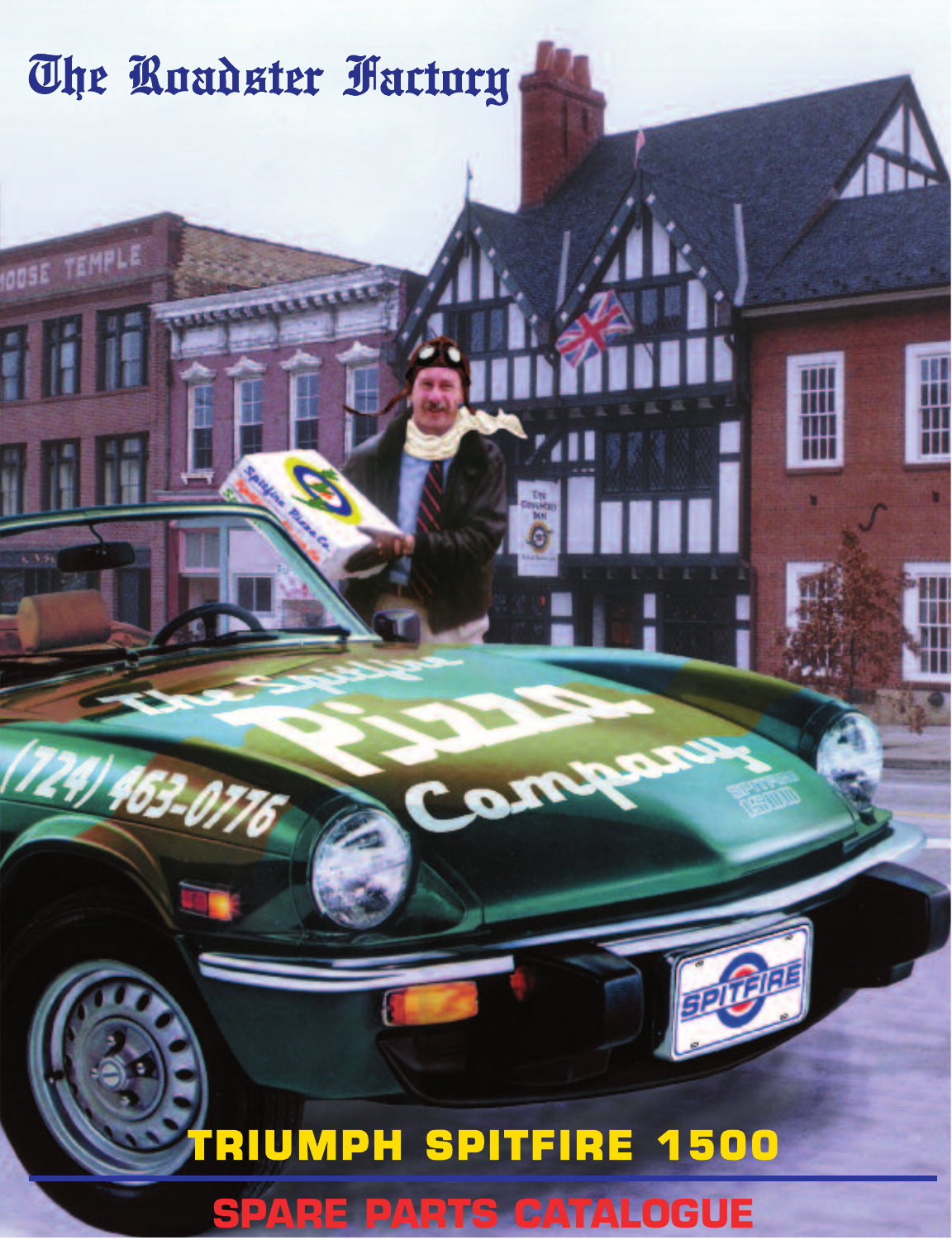# **SPARE PARTS CATALOGUE TRIUMPH SPITFIRE 1500**

Com

The Roudster Fuctory

**100SE TEMPLE** 

124) 463-0776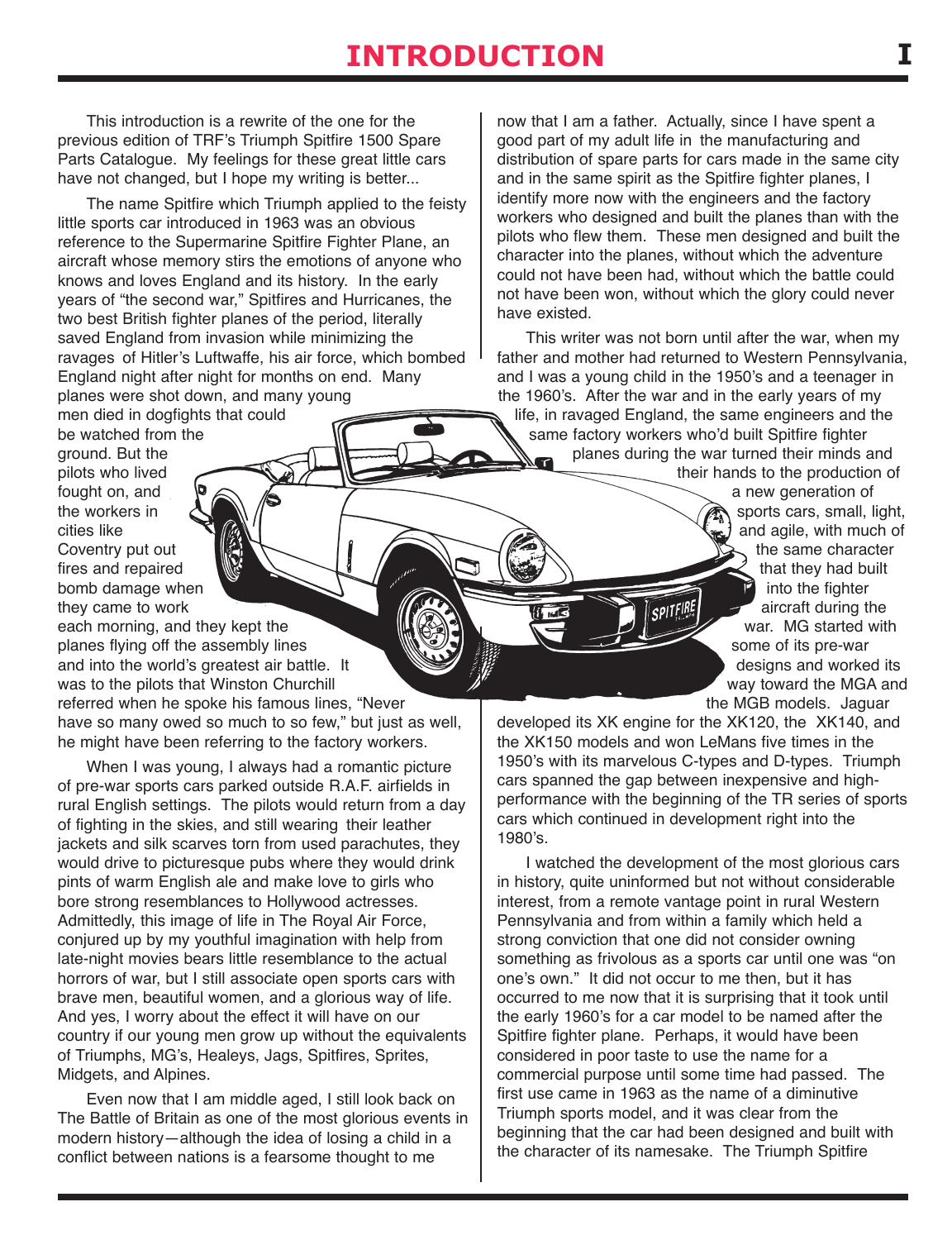## **IntroductIon I**

This introduction is a rewrite of the one for the previous edition of TRF's Triumph Spitfire 1500 Spare Parts Catalogue. My feelings for these great little cars have not changed, but I hope my writing is better...

The name Spitfire which Triumph applied to the feisty little sports car introduced in 1963 was an obvious reference to the Supermarine Spitfire Fighter Plane, an aircraft whose memory stirs the emotions of anyone who knows and loves England and its history. In the early years of "the second war," Spitfires and Hurricanes, the two best British fighter planes of the period, literally saved England from invasion while minimizing the ravages of Hitler's Luftwaffe, his air force, which bombed England night after night for months on end. Many planes were shot down, and many young

men died in dogfights that could be watched from the ground. But the pilots who lived fought on, and the workers in cities like Coventry put out fires and repaired bomb damage when they came to work

each morning, and they kept the planes flying off the assembly lines and into the world's greatest air battle. It was to the pilots that Winston Churchill referred when he spoke his famous lines, "Never have so many owed so much to so few," but just as well, he might have been referring to the factory workers.

When I was young, I always had a romantic picture of pre-war sports cars parked outside R.A.F. airfields in rural English settings. The pilots would return from a day of fighting in the skies, and still wearing their leather jackets and silk scarves torn from used parachutes, they would drive to picturesque pubs where they would drink pints of warm English ale and make love to girls who bore strong resemblances to Hollywood actresses. Admittedly, this image of life in The Royal Air Force, conjured up by my youthful imagination with help from late-night movies bears little resemblance to the actual horrors of war, but I still associate open sports cars with brave men, beautiful women, and a glorious way of life. And yes, I worry about the effect it will have on our country if our young men grow up without the equivalents of Triumphs, MG's, Healeys, Jags, Spitfires, Sprites, Midgets, and Alpines.

Even now that I am middle aged, I still look back on The Battle of Britain as one of the most glorious events in modern history—although the idea of losing a child in a conflict between nations is a fearsome thought to me

now that I am a father. Actually, since I have spent a good part of my adult life in the manufacturing and distribution of spare parts for cars made in the same city and in the same spirit as the Spitfire fighter planes, I identify more now with the engineers and the factory workers who designed and built the planes than with the pilots who flew them. These men designed and built the character into the planes, without which the adventure could not have been had, without which the battle could not have been won, without which the glory could never have existed.

This writer was not born until after the war, when my father and mother had returned to Western Pennsylvania, and I was a young child in the 1950's and a teenager in the 1960's. After the war and in the early years of my life, in ravaged England, the same engineers and the same factory workers who'd built Spitfire fighter

planes during the war turned their minds and their hands to the production of

a new generation of sports cars, small, light, and agile, with much of the same character that they had built into the fighter aircraft during the war. MG started with some of its pre-war designs and worked its way toward the MGA and the MGB models. Jaguar

developed its XK engine for the XK120, the XK140, and the XK150 models and won LeMans five times in the 1950's with its marvelous C-types and D-types. Triumph cars spanned the gap between inexpensive and highperformance with the beginning of the TR series of sports cars which continued in development right into the 1980's.

SPITFIRE

I watched the development of the most glorious cars in history, quite uninformed but not without considerable interest, from a remote vantage point in rural Western Pennsylvania and from within a family which held a strong conviction that one did not consider owning something as frivolous as a sports car until one was "on one's own." It did not occur to me then, but it has occurred to me now that it is surprising that it took until the early 1960's for a car model to be named after the Spitfire fighter plane. Perhaps, it would have been considered in poor taste to use the name for a commercial purpose until some time had passed. The first use came in 1963 as the name of a diminutive Triumph sports model, and it was clear from the beginning that the car had been designed and built with the character of its namesake. The Triumph Spitfire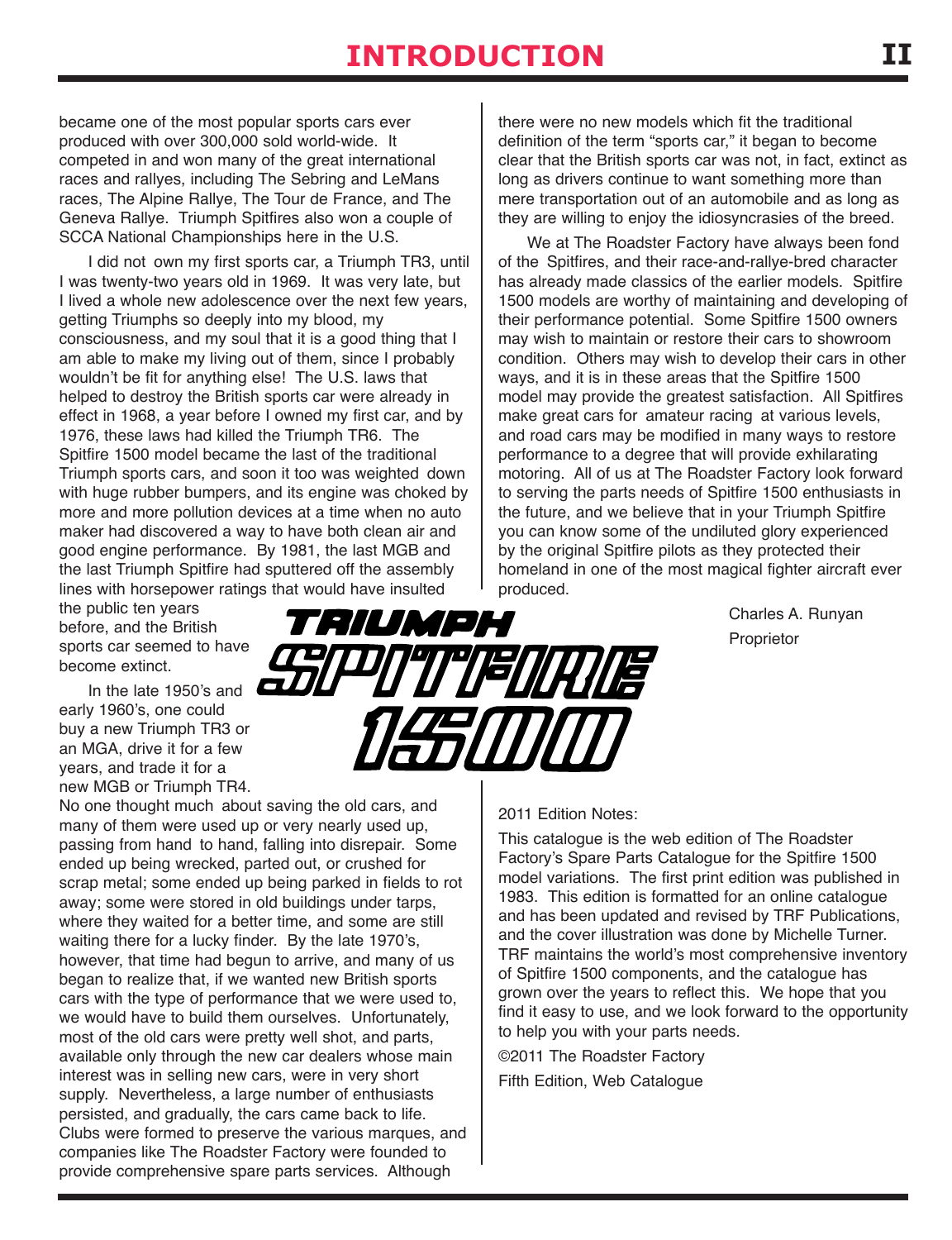## **IntroductIon**

became one of the most popular sports cars ever produced with over 300,000 sold world-wide. It competed in and won many of the great international races and rallyes, including The Sebring and LeMans races, The Alpine Rallye, The Tour de France, and The Geneva Rallye. Triumph Spitfires also won a couple of SCCA National Championships here in the U.S.

I did not own my first sports car, a Triumph TR3, until I was twenty-two years old in 1969. It was very late, but I lived a whole new adolescence over the next few years, getting Triumphs so deeply into my blood, my consciousness, and my soul that it is a good thing that I am able to make my living out of them, since I probably wouldn't be fit for anything else! The U.S. laws that helped to destroy the British sports car were already in effect in 1968, a year before I owned my first car, and by 1976, these laws had killed the Triumph TR6. The Spitfire 1500 model became the last of the traditional Triumph sports cars, and soon it too was weighted down with huge rubber bumpers, and its engine was choked by more and more pollution devices at a time when no auto maker had discovered a way to have both clean air and good engine performance. By 1981, the last MGB and the last Triumph Spitfire had sputtered off the assembly lines with horsepower ratings that would have insulted

there were no new models which fit the traditional definition of the term "sports car," it began to become clear that the British sports car was not, in fact, extinct as long as drivers continue to want something more than mere transportation out of an automobile and as long as they are willing to enjoy the idiosyncrasies of the breed.

We at The Roadster Factory have always been fond of the Spitfires, and their race-and-rallye-bred character has already made classics of the earlier models. Spitfire 1500 models are worthy of maintaining and developing of their performance potential. Some Spitfire 1500 owners may wish to maintain or restore their cars to showroom condition. Others may wish to develop their cars in other ways, and it is in these areas that the Spitfire 1500 model may provide the greatest satisfaction. All Spitfires make great cars for amateur racing at various levels, and road cars may be modified in many ways to restore performance to a degree that will provide exhilarating motoring. All of us at The Roadster Factory look forward to serving the parts needs of Spitfire 1500 enthusiasts in the future, and we believe that in your Triumph Spitfire you can know some of the undiluted glory experienced by the original Spitfire pilots as they protected their homeland in one of the most magical fighter aircraft ever produced.

> Charles A. Runyan Proprietor

the public ten years before, and the British sports car seemed to have become extinct.

In the late 1950's and early 1960's, one could buy a new Triumph TR3 or an MGA, drive it for a few years, and trade it for a new MGB or Triumph TR4.

No one thought much about saving the old cars, and many of them were used up or very nearly used up, passing from hand to hand, falling into disrepair. Some ended up being wrecked, parted out, or crushed for scrap metal; some ended up being parked in fields to rot away; some were stored in old buildings under tarps, where they waited for a better time, and some are still waiting there for a lucky finder. By the late 1970's, however, that time had begun to arrive, and many of us began to realize that, if we wanted new British sports cars with the type of performance that we were used to, we would have to build them ourselves. Unfortunately, most of the old cars were pretty well shot, and parts, available only through the new car dealers whose main interest was in selling new cars, were in very short supply. Nevertheless, a large number of enthusiasts persisted, and gradually, the cars came back to life. Clubs were formed to preserve the various marques, and companies like The Roadster Factory were founded to provide comprehensive spare parts services. Although



#### 2011 Edition Notes:

This catalogue is the web edition of The Roadster Factory's Spare Parts Catalogue for the Spitfire 1500 model variations. The first print edition was published in 1983. This edition is formatted for an online catalogue and has been updated and revised by TRF Publications, and the cover illustration was done by Michelle Turner. TRF maintains the world's most comprehensive inventory of Spitfire 1500 components, and the catalogue has grown over the years to reflect this. We hope that you find it easy to use, and we look forward to the opportunity to help you with your parts needs.

©2011 The Roadster Factory Fifth Edition, Web Catalogue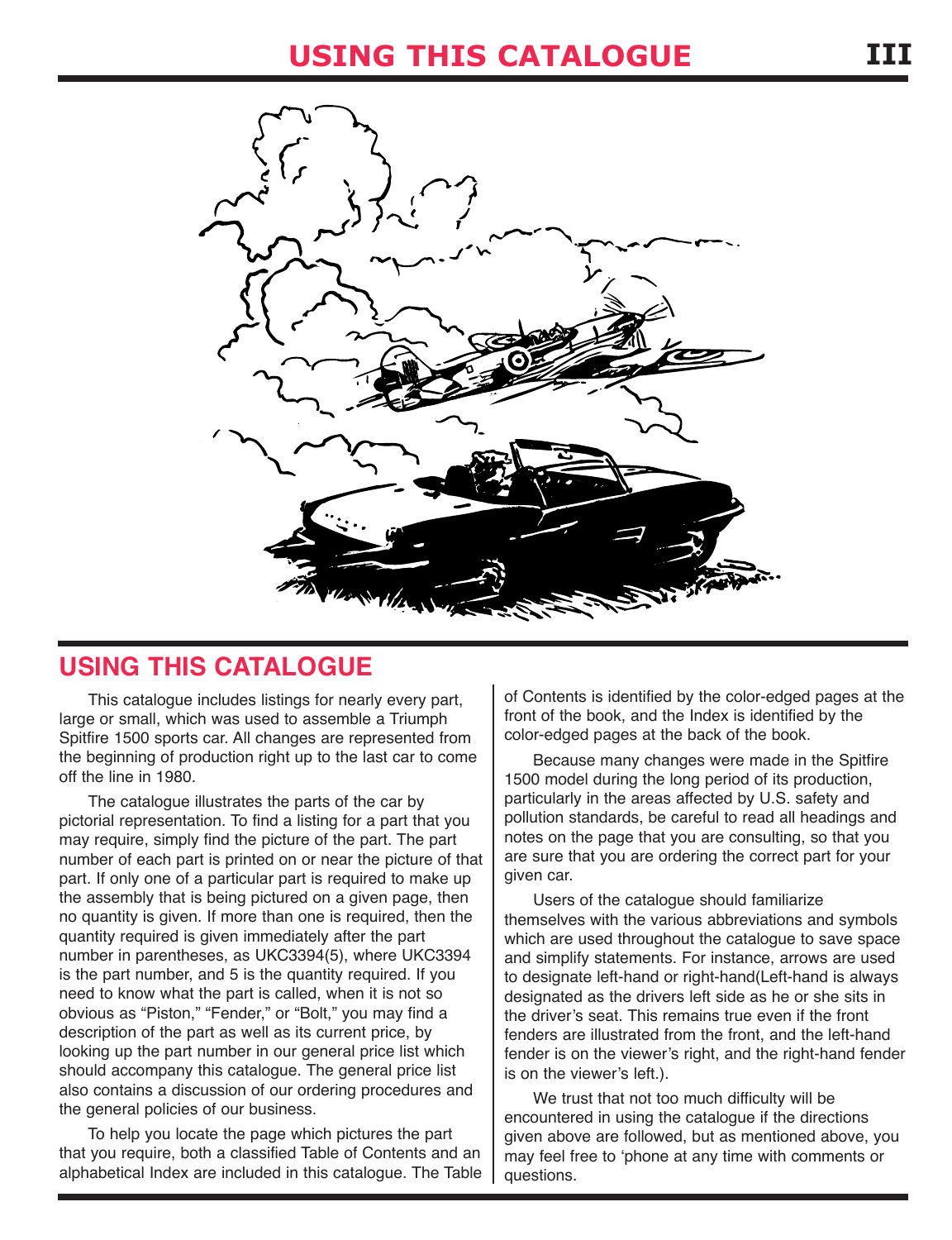

### **USING THIS CATALOGUE**

This catalogue includes listings for nearly every part, large or small, which was used to assemble a Triumph Spitfire 1500 sports car. All changes are represented from the beginning of production right up to the last car to come off the line in 1980.

The catalogue illustrates the parts of the car by pictorial representation. To find a listing for a part that you may require, simply find the picture of the part. The part number of each part is printed on or near the picture of that part. If only one of a particular part is required to make up the assembly that is being pictured on a given page, then no quantity is given. If more than one is required, then the quantity required is given immediately after the part number in parentheses, as UKC3394(5), where UKC3394 is the part number, and 5 is the quantity required. If you need to know what the part is called, when it is not so obvious as "Piston," "Fender," or "Bolt," you may find a description of the part as well as its current price, by looking up the part number in our general price list which should accompany this catalogue. The general price list also contains a discussion of our ordering procedures and the general policies of our business.

To help you locate the page which pictures the part that you require, both a classified Table of Contents and an alphabetical Index are included in this catalogue. The Table of Contents is identified by the color-edged pages at the front of the book, and the Index is identified by the color-edged pages at the back of the book.

Because many changes were made in the Spitfire 1500 model during the long period of its production, particularly in the areas affected by U.S. safety and pollution standards, be careful to read all headings and notes on the page that you are consulting, so that you are sure that you are ordering the correct part for your given car.

Users of the catalogue should familiarize themselves with the various abbreviations and symbols which are used throughout the catalogue to save space and simplify statements. For instance, arrows are used to designate left-hand or right-hand(Left-hand is always designated as the drivers left side as he or she sits in the driver's seat. This remains true even if the front fenders are illustrated from the front, and the left-hand fender is on the viewer's right, and the right-hand fender is on the viewer's left.).

We trust that not too much difficulty will be encountered in using the catalogue if the directions given above are followed, but as mentioned above, you may feel free to 'phone at any time with comments or questions.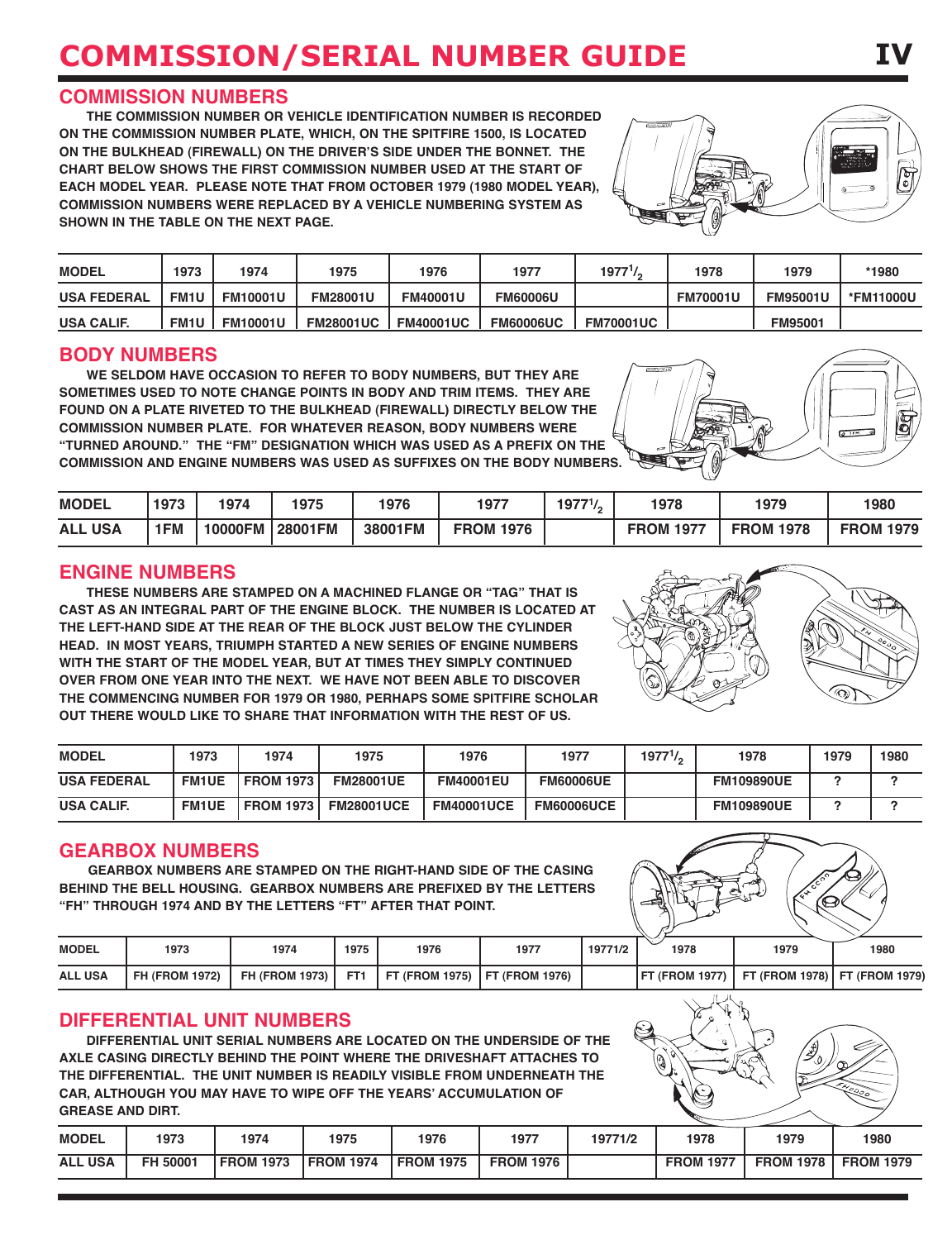## **commIssIon/serIal number guIde**

#### **COMMISSION NUMBErS**

**THE COMMISSION NUMBEr Or vEHICLE IDENTIFICATION NUMBEr IS rECOrDED ON THE COMMISSION NUMBEr pLATE, wHICH, ON THE SpITFIrE 1500, IS LOCATED ON THE BULkHEAD (FIrEwALL) ON THE DrIvEr'S SIDE UNDEr THE BONNET. THE CHArT BELOw SHOwS THE FIrST COMMISSION NUMBEr USED AT THE STArT OF EACH MODEL yEAr. pLEASE NOTE THAT FrOM OCTOBEr 1979 (1980 MODEL yEAr), COMMISSION NUMBErS wErE rEpLACED By A vEHICLE NUMBErING SySTEM AS SHOwN IN THE TABLE ON THE NExT pAGE.**

| <b>MODEL</b>       | 1973        | 1974            | 1975             | 1976             | 1977             | 1977 <sup>1</sup> / <sub>2</sub> | 1978            | 1979            | *1980     |
|--------------------|-------------|-----------------|------------------|------------------|------------------|----------------------------------|-----------------|-----------------|-----------|
| <b>USA FEDERAL</b> | <b>FM1U</b> | <b>FM10001U</b> | <b>FM28001U</b>  | <b>FM40001U</b>  | <b>FM60006U</b>  |                                  | <b>FM70001U</b> | <b>FM95001U</b> | *FM11000U |
| <b>USA CALIF.</b>  | <b>FM1U</b> | <b>FM10001U</b> | <b>FM28001UC</b> | <b>FM40001UC</b> | <b>FM60006UC</b> | <b>FM70001UC</b>                 |                 | <b>FM95001</b>  |           |

#### **BODy NUMBErS**

**wE SELDOM HAvE OCCASION TO rEFEr TO BODy NUMBErS, BUT THEy ArE SOMETIMES USED TO NOTE CHANGE pOINTS IN BODy AND TrIM ITEMS. THEy ArE FOUND ON A pLATE rIvETED TO THE BULkHEAD (FIrEwALL) DIrECTLy BELOw THE COMMISSION NUMBEr pLATE. FOr wHATEvEr rEASON, BODy NUMBErS wErE "TUrNED ArOUND." THE "FM" DESIGNATION wHICH wAS USED AS A prEFIx ON THE COMMISSION AND ENGINE NUMBErS wAS USED AS SUFFIxES ON THE BODy NUMBErS.**

| <b>MODEL</b>   | 1973 | 1974    | 1975           | 1976    | 1977             | $19771$ / | 1978             | 1979             | 1980             |
|----------------|------|---------|----------------|---------|------------------|-----------|------------------|------------------|------------------|
| <b>ALL USA</b> | 1FM  | 10000FM | <b>28001FM</b> | 38001FM | <b>FROM 1976</b> |           | <b>FROM 1977</b> | <b>FROM 1978</b> | <b>FROM 1979</b> |

#### **ENGINE NUMBErS**

**THESE NUMBErS ArE STAMpED ON A MACHINED FLANGE Or "TAG" THAT IS CAST AS AN INTEGrAL pArT OF THE ENGINE BLOCk. THE NUMBEr IS LOCATED AT THE LEFT-HAND SIDE AT THE rEAr OF THE BLOCk JUST BELOw THE CyLINDEr HEAD. IN MOST yEArS, TrIUMpH STArTED A NEw SErIES OF ENGINE NUMBErS wITH THE STArT OF THE MODEL yEAr, BUT AT TIMES THEy SIMpLy CONTINUED OvEr FrOM ONE yEAr INTO THE NExT. wE HAvE NOT BEEN ABLE TO DISCOvEr THE COMMENCING NUMBEr FOr 1979 Or 1980, pErHApS SOME SpITFIrE SCHOLAr OUT THErE wOULD LIkE TO SHArE THAT INFOrMATION wITH THE rEST OF US.**

| <b>MODEL</b>       | 1973         | 1974             | 1975              | 1976              | 1977              | $1977^{1/2}$ | 1978              | 1979 | 1980 |
|--------------------|--------------|------------------|-------------------|-------------------|-------------------|--------------|-------------------|------|------|
| <b>USA FEDERAL</b> | <b>FM1UE</b> | <b>FROM 1973</b> | <b>FM28001UE</b>  | <b>FM40001EU</b>  | <b>FM60006UE</b>  |              | <b>FM109890UE</b> |      |      |
| <b>USA CALIF.</b>  | <b>FM1UE</b> | <b>FROM 1973</b> | <b>FM28001UCE</b> | <b>FM40001UCE</b> | <b>FM60006UCE</b> |              | <b>FM109890UE</b> |      |      |

#### **GEArBOx NUMBErS**

**GEArBOx NUMBErS ArE STAMpED ON THE rIGHT-HAND SIDE OF THE CASING BEHIND THE BELL HOUSING. GEArBOx NUMBErS ArE prEFIxED By THE LETTErS "FH" THrOUGH 1974 AND By THE LETTErS "FT" AFTEr THAT pOINT.**

| <b>MODEL</b>   | 1973                  | 1974                  | 1975 | 1976                                  | 1977 | 19771/2 | 1978 | 1979                                                     | 1980 |
|----------------|-----------------------|-----------------------|------|---------------------------------------|------|---------|------|----------------------------------------------------------|------|
| <b>ALL USA</b> | <b>FH (FROM 1972)</b> | <b>FH (FROM 1973)</b> |      | FT1   FT (FROM 1975)   FT (FROM 1976) |      |         |      | <b>IFT (FROM 1977) I FT (FROM 1978) I FT (FROM 1979)</b> |      |

#### **DIFFErENTIAL UNIT NUMBErS**

**DIFFErENTIAL UNIT SErIAL NUMBErS ArE LOCATED ON THE UNDErSIDE OF THE AxLE CASING DIrECTLy BEHIND THE pOINT wHErE THE DrIvESHAFT ATTACHES TO THE DIFFErENTIAL. THE UNIT NUMBEr IS rEADILy vISIBLE FrOM UNDErNEATH THE CAr, ALTHOUGH yOU MAy HAvE TO wIpE OFF THE yEArS' ACCUMULATION OF GrEASE AND DIrT.**

| <b>MODEL</b>   | 1973     | 1974             | 1975             | 1976             | 1977             | 19771/2 | 1978             | 1979             | 1980             |
|----------------|----------|------------------|------------------|------------------|------------------|---------|------------------|------------------|------------------|
| <b>ALL USA</b> | FH 50001 | <b>FROM 1973</b> | <b>FROM 1974</b> | <b>FROM 1975</b> | <b>FROM 1976</b> |         | <b>FROM 1977</b> | <b>FROM 1978</b> | <b>FROM 1979</b> |







**IV**

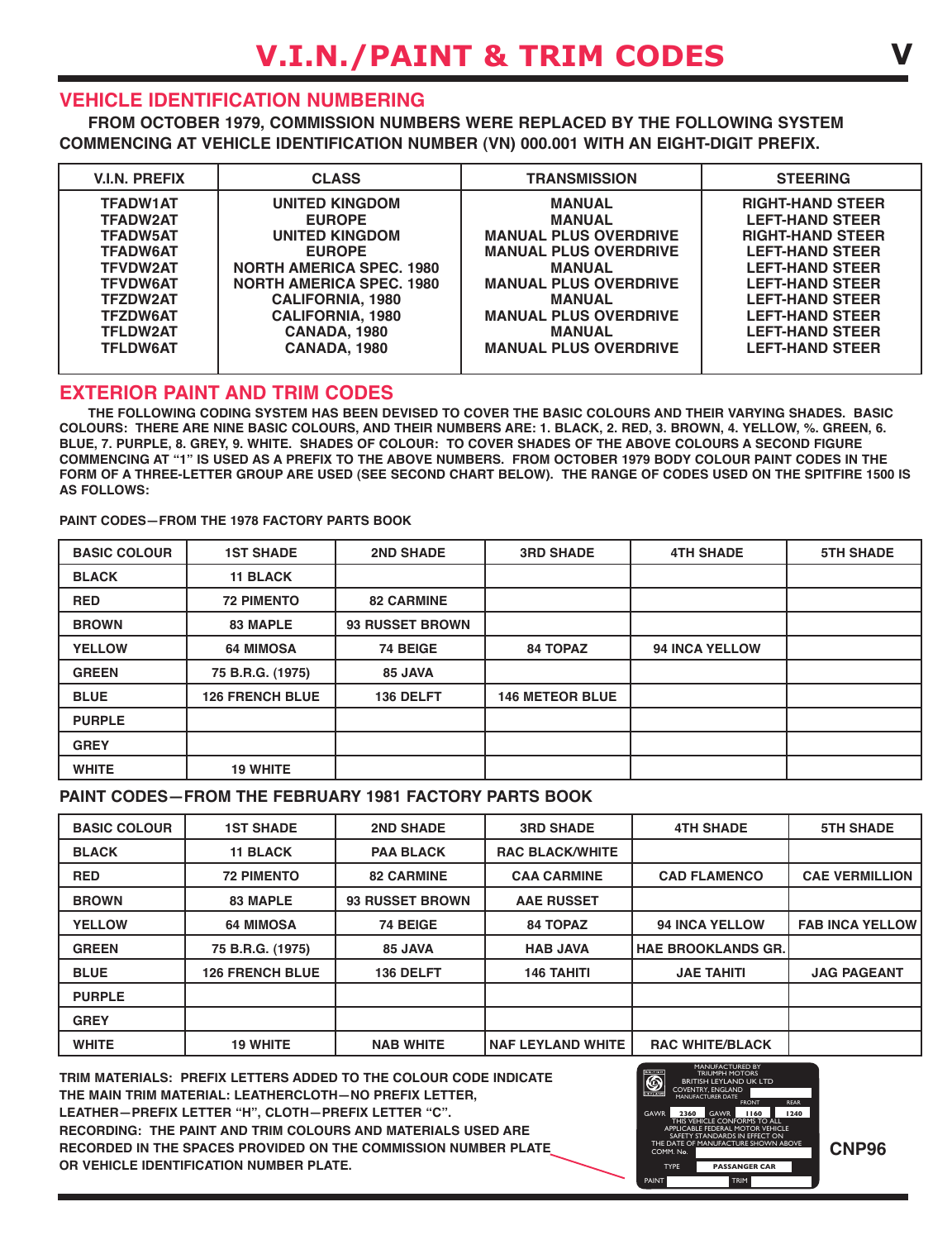#### **vEHICLE IDENTIFICATION NUMBErING**

**FrOM OCTOBEr 1979, COMMISSION NUMBErS wErE rEpLACED By THE FOLLOwING SySTEM COMMENCING AT vEHICLE IDENTIFICATION NUMBEr (vN) 000.001 wITH AN EIGHT-DIGIT prEFIx.**

| <b>V.I.N. PREFIX</b> | <b>CLASS</b>                    | <b>TRANSMISSION</b>          | <b>STEERING</b>         |
|----------------------|---------------------------------|------------------------------|-------------------------|
| <b>TFADW1AT</b>      | <b>UNITED KINGDOM</b>           | <b>MANUAL</b>                | <b>RIGHT-HAND STEER</b> |
| <b>TFADW2AT</b>      | <b>EUROPE</b>                   | <b>MANUAL</b>                | <b>LEFT-HAND STEER</b>  |
| <b>TFADW5AT</b>      | <b>UNITED KINGDOM</b>           | <b>MANUAL PLUS OVERDRIVE</b> | <b>RIGHT-HAND STEER</b> |
| <b>TFADW6AT</b>      | <b>EUROPE</b>                   | <b>MANUAL PLUS OVERDRIVE</b> | <b>LEFT-HAND STEER</b>  |
| <b>TFVDW2AT</b>      | <b>NORTH AMERICA SPEC. 1980</b> | <b>MANUAL</b>                | <b>LEFT-HAND STEER</b>  |
| <b>TFVDW6AT</b>      | <b>NORTH AMERICA SPEC. 1980</b> | <b>MANUAL PLUS OVERDRIVE</b> | <b>LEFT-HAND STEER</b>  |
| <b>TFZDW2AT</b>      | <b>CALIFORNIA, 1980</b>         | <b>MANUAL</b>                | <b>LEFT-HAND STEER</b>  |
| <b>TFZDW6AT</b>      | <b>CALIFORNIA, 1980</b>         | <b>MANUAL PLUS OVERDRIVE</b> | <b>LEFT-HAND STEER</b>  |
| <b>TFLDW2AT</b>      | CANADA, 1980                    | <b>MANUAL</b>                | <b>LEFT-HAND STEER</b>  |
| <b>TFLDW6AT</b>      | <b>CANADA, 1980</b>             | <b>MANUAL PLUS OVERDRIVE</b> | <b>LEFT-HAND STEER</b>  |
|                      |                                 |                              |                         |

#### **ExTErIOr pAINT AND TrIM CODES**

**THE FOLLOwING CODING SySTEM HAS BEEN DEvISED TO COvEr THE BASIC COLOUrS AND THEIr vAryING SHADES. BASIC** COLOURS: THERE ARE NINE BASIC COLOURS, AND THEIR NUMBERS ARE: 1. BLACK, 2. RED, 3. BROWN, 4. YELLOW, %. GREEN, 6. BLUE, 7. PURPLE, 8. GREY, 9. WHITE. SHADES OF COLOUR: TO COVER SHADES OF THE ABOVE COLOURS A SECOND FIGURE COMMENCING AT "1" IS USED AS A PREFIX TO THE ABOVE NUMBERS. FROM OCTOBER 1979 BODY COLOUR PAINT CODES IN THE FORM OF A THREE-LETTER GROUP ARE USED (SEE SECOND CHART BELOW). THE RANGE OF CODES USED ON THE SPITFIRE 1500 IS **AS FOLLOwS:**

**pAINT CODES—FrOM THE 1978 FACTOry pArTS BOOk**

| <b>BASIC COLOUR</b> | <b>1ST SHADE</b>       | <b>2ND SHADE</b>       | <b>3RD SHADE</b>       | <b>4TH SHADE</b>      | <b>5TH SHADE</b> |
|---------------------|------------------------|------------------------|------------------------|-----------------------|------------------|
| <b>BLACK</b>        | <b>11 BLACK</b>        |                        |                        |                       |                  |
| <b>RED</b>          | <b>72 PIMENTO</b>      | <b>82 CARMINE</b>      |                        |                       |                  |
| <b>BROWN</b>        | <b>83 MAPLE</b>        | <b>93 RUSSET BROWN</b> |                        |                       |                  |
| <b>YELLOW</b>       | <b>64 MIMOSA</b>       | 74 BEIGE               | <b>84 TOPAZ</b>        | <b>94 INCA YELLOW</b> |                  |
| <b>GREEN</b>        | 75 B.R.G. (1975)       | 85 JAVA                |                        |                       |                  |
| <b>BLUE</b>         | <b>126 FRENCH BLUE</b> | 136 DELFT              | <b>146 METEOR BLUE</b> |                       |                  |
| <b>PURPLE</b>       |                        |                        |                        |                       |                  |
| <b>GREY</b>         |                        |                        |                        |                       |                  |
| <b>WHITE</b>        | <b>19 WHITE</b>        |                        |                        |                       |                  |

#### **pAINT CODES—FrOM THE FEBrUAry 1981 FACTOry pArTS BOOk**

| <b>BASIC COLOUR</b> | <b>1ST SHADE</b>       | <b>2ND SHADE</b>       | <b>3RD SHADE</b>         | <b>4TH SHADE</b>          | <b>5TH SHADE</b>       |
|---------------------|------------------------|------------------------|--------------------------|---------------------------|------------------------|
| <b>BLACK</b>        | <b>11 BLACK</b>        | <b>PAA BLACK</b>       | <b>RAC BLACK/WHITE</b>   |                           |                        |
| <b>RED</b>          | <b>72 PIMENTO</b>      | <b>82 CARMINE</b>      | <b>CAA CARMINE</b>       | <b>CAD FLAMENCO</b>       | <b>CAE VERMILLION</b>  |
| <b>BROWN</b>        | <b>83 MAPLE</b>        | <b>93 RUSSET BROWN</b> | <b>AAE RUSSET</b>        |                           |                        |
| <b>YELLOW</b>       | <b>64 MIMOSA</b>       | 74 BEIGE               | <b>84 TOPAZ</b>          | <b>94 INCA YELLOW</b>     | <b>FAB INCA YELLOW</b> |
| <b>GREEN</b>        | 75 B.R.G. (1975)       | 85 JAVA                | <b>HAB JAVA</b>          | <b>HAE BROOKLANDS GR.</b> |                        |
| <b>BLUE</b>         | <b>126 FRENCH BLUE</b> | 136 DELFT              | <b>146 TAHITI</b>        | <b>JAE TAHITI</b>         | <b>JAG PAGEANT</b>     |
| <b>PURPLE</b>       |                        |                        |                          |                           |                        |
| <b>GREY</b>         |                        |                        |                          |                           |                        |
| <b>WHITE</b>        | <b>19 WHITE</b>        | <b>NAB WHITE</b>       | <b>NAF LEYLAND WHITE</b> | <b>RAC WHITE/BLACK</b>    |                        |

**TrIM MATErIALS: prEFIx LETTErS ADDED TO THE COLOUr CODE INDICATE THE MAIN TrIM MATErIAL: LEATHErCLOTH—NO prEFIx LETTEr, LEATHEr—prEFIx LETTEr "H", CLOTH—prEFIx LETTEr "C". rECOrDING: THE pAINT AND TrIM COLOUrS AND MATErIALS USED ArE rECOrDED IN THE SpACES prOvIDED ON THE COMMISSION NUMBEr pLATE Or vEHICLE IDENTIFICATION NUMBEr pLATE.**



PAINT TRIM

**CNp96**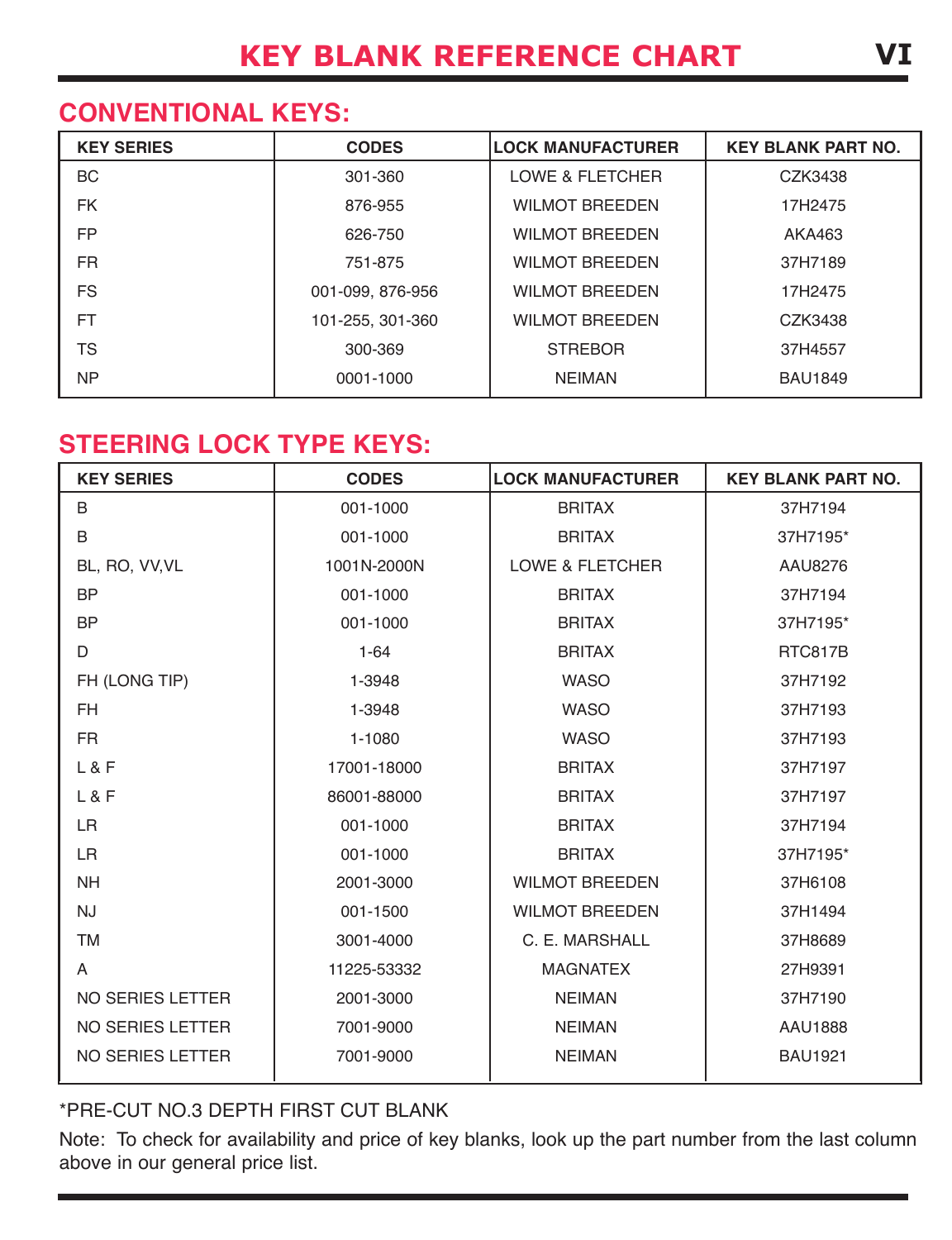## **CONvENTIONAL kEyS:**

| <b>KEY SERIES</b> | <b>CODES</b>     | <b>LOCK MANUFACTURER</b>   | <b>KEY BLANK PART NO.</b> |
|-------------------|------------------|----------------------------|---------------------------|
| BC                | 301-360          | <b>LOWE &amp; FLETCHER</b> | CZK3438                   |
| <b>FK</b>         | 876-955          | <b>WILMOT BREEDEN</b>      | 17H2475                   |
| <b>FP</b>         | 626-750          | <b>WILMOT BREEDEN</b>      | AKA463                    |
| <b>FR</b>         | 751-875          | <b>WILMOT BREEDEN</b>      | 37H7189                   |
| <b>FS</b>         | 001-099, 876-956 | <b>WILMOT BREEDEN</b>      | 17H2475                   |
| FT                | 101-255, 301-360 | <b>WILMOT BREEDEN</b>      | CZK3438                   |
| TS                | 300-369          | <b>STREBOR</b>             | 37H4557                   |
| <b>NP</b>         | 0001-1000        | <b>NEIMAN</b>              | <b>BAU1849</b>            |

## **STEErING LOCk TypE kEyS:**

| <b>KEY SERIES</b>       | <b>CODES</b> | <b>LOCK MANUFACTURER</b>   | <b>KEY BLANK PART NO.</b> |
|-------------------------|--------------|----------------------------|---------------------------|
| B                       | 001-1000     | <b>BRITAX</b>              | 37H7194                   |
| B                       | 001-1000     | <b>BRITAX</b>              | 37H7195*                  |
| BL, RO, VV, VL          | 1001N-2000N  | <b>LOWE &amp; FLETCHER</b> | AAU8276                   |
| <b>BP</b>               | 001-1000     | <b>BRITAX</b>              | 37H7194                   |
| <b>BP</b>               | 001-1000     | <b>BRITAX</b>              | 37H7195*                  |
| D                       | $1 - 64$     | <b>BRITAX</b>              | RTC817B                   |
| FH (LONG TIP)           | 1-3948       | <b>WASO</b>                | 37H7192                   |
| <b>FH</b>               | 1-3948       | <b>WASO</b>                | 37H7193                   |
| <b>FR</b>               | 1-1080       | <b>WASO</b>                | 37H7193                   |
| L & F                   | 17001-18000  | <b>BRITAX</b>              | 37H7197                   |
| L & F                   | 86001-88000  | <b>BRITAX</b>              | 37H7197                   |
| <b>LR</b>               | 001-1000     | <b>BRITAX</b>              | 37H7194                   |
| <b>LR</b>               | 001-1000     | <b>BRITAX</b>              | 37H7195*                  |
| <b>NH</b>               | 2001-3000    | <b>WILMOT BREEDEN</b>      | 37H6108                   |
| <b>NJ</b>               | 001-1500     | <b>WILMOT BREEDEN</b>      | 37H1494                   |
| <b>TM</b>               | 3001-4000    | C. E. MARSHALL             | 37H8689                   |
| A                       | 11225-53332  | <b>MAGNATEX</b>            | 27H9391                   |
| <b>NO SERIES LETTER</b> | 2001-3000    | <b>NEIMAN</b>              | 37H7190                   |
| NO SERIES LETTER        | 7001-9000    | <b>NEIMAN</b>              | <b>AAU1888</b>            |
| <b>NO SERIES LETTER</b> | 7001-9000    | <b>NEIMAN</b>              | <b>BAU1921</b>            |

#### \*PRE-CUT NO.3 DEPTH FIRST CUT BLANK

Note: To check for availability and price of key blanks, look up the part number from the last column above in our general price list.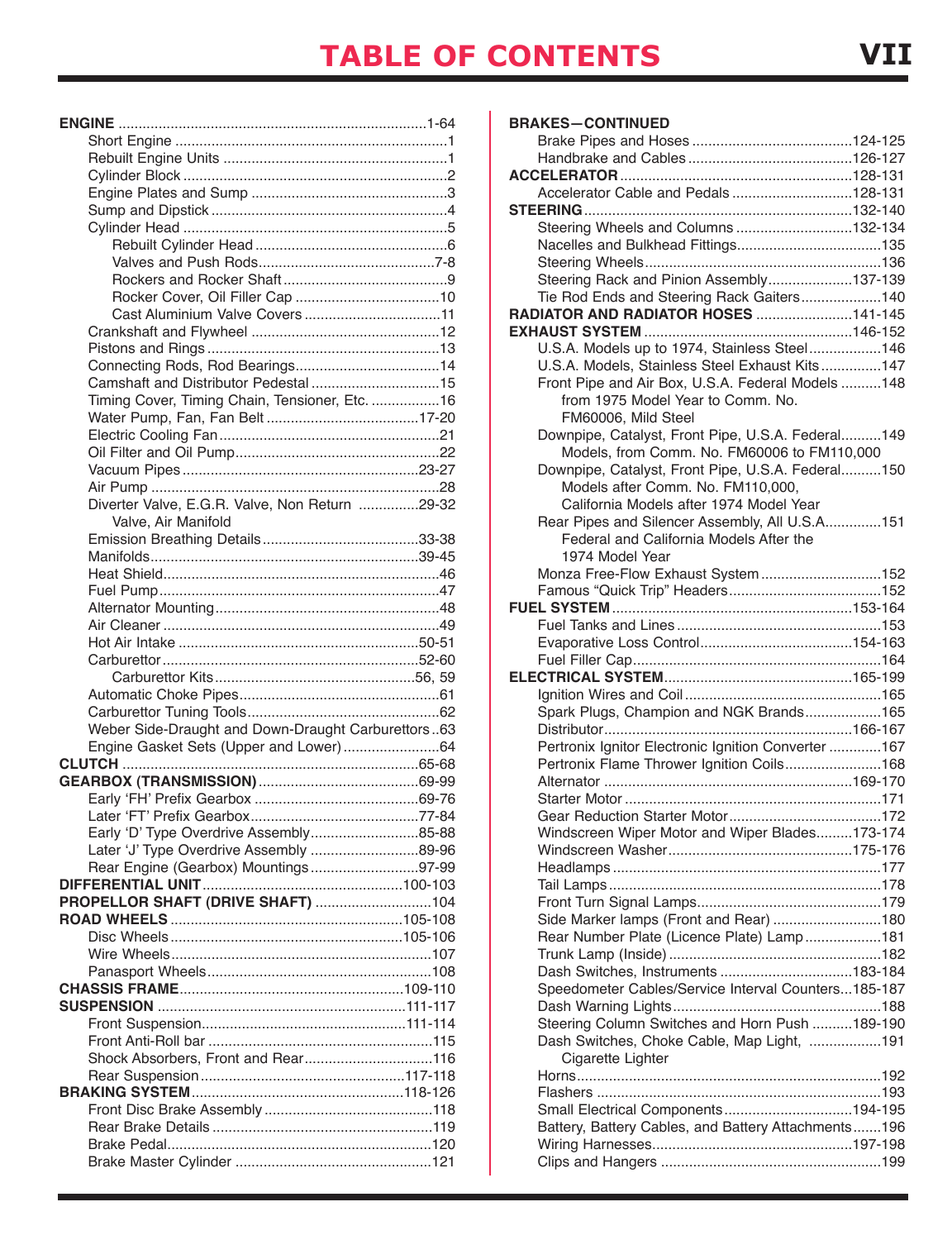| Timing Cover, Timing Chain, Tensioner, Etc. 16     |  |
|----------------------------------------------------|--|
|                                                    |  |
|                                                    |  |
|                                                    |  |
|                                                    |  |
|                                                    |  |
| Diverter Valve, E.G.R. Valve, Non Return 29-32     |  |
| Valve, Air Manifold                                |  |
|                                                    |  |
|                                                    |  |
|                                                    |  |
|                                                    |  |
|                                                    |  |
|                                                    |  |
|                                                    |  |
|                                                    |  |
|                                                    |  |
|                                                    |  |
|                                                    |  |
|                                                    |  |
| Weber Side-Draught and Down-Draught Carburettors63 |  |
| Engine Gasket Sets (Upper and Lower)64             |  |
|                                                    |  |
|                                                    |  |
|                                                    |  |
|                                                    |  |
| Early 'D' Type Overdrive Assembly85-88             |  |
| Later 'J' Type Overdrive Assembly 89-96            |  |
| Rear Engine (Gearbox) Mountings97-99               |  |
|                                                    |  |
|                                                    |  |
|                                                    |  |
|                                                    |  |
|                                                    |  |
|                                                    |  |
|                                                    |  |
|                                                    |  |
|                                                    |  |
|                                                    |  |
| Shock Absorbers, Front and Rear116                 |  |
|                                                    |  |
|                                                    |  |
|                                                    |  |
|                                                    |  |
| PROPELLOR SHAFT (DRIVE SHAFT) 104                  |  |

| <b>BRAKES-CONTINUED</b>                                                               |  |
|---------------------------------------------------------------------------------------|--|
|                                                                                       |  |
|                                                                                       |  |
|                                                                                       |  |
| Accelerator Cable and Pedals 128-131                                                  |  |
|                                                                                       |  |
| Steering Wheels and Columns 132-134                                                   |  |
|                                                                                       |  |
|                                                                                       |  |
| Steering Rack and Pinion Assembly137-139<br>Tie Rod Ends and Steering Rack Gaiters140 |  |
| RADIATOR AND RADIATOR HOSES 141-145                                                   |  |
|                                                                                       |  |
| U.S.A. Models up to 1974, Stainless Steel146                                          |  |
| U.S.A. Models, Stainless Steel Exhaust Kits147                                        |  |
| Front Pipe and Air Box, U.S.A. Federal Models 148                                     |  |
| from 1975 Model Year to Comm. No.                                                     |  |
| FM60006, Mild Steel                                                                   |  |
| Downpipe, Catalyst, Front Pipe, U.S.A. Federal149                                     |  |
| Models, from Comm. No. FM60006 to FM110,000                                           |  |
| Downpipe, Catalyst, Front Pipe, U.S.A. Federal150                                     |  |
| Models after Comm. No. FM110,000,                                                     |  |
| California Models after 1974 Model Year                                               |  |
| Rear Pipes and Silencer Assembly, All U.S.A151                                        |  |
| Federal and California Models After the                                               |  |
| 1974 Model Year                                                                       |  |
| Monza Free-Flow Exhaust System152                                                     |  |
|                                                                                       |  |
|                                                                                       |  |
|                                                                                       |  |
|                                                                                       |  |
|                                                                                       |  |
|                                                                                       |  |
| Spark Plugs, Champion and NGK Brands165                                               |  |
|                                                                                       |  |
| Pertronix Ignitor Electronic Ignition Converter 167                                   |  |
| Pertronix Flame Thrower Ignition Coils168                                             |  |
|                                                                                       |  |
|                                                                                       |  |
|                                                                                       |  |
| Windscreen Wiper Motor and Wiper Blades173-174                                        |  |
|                                                                                       |  |
|                                                                                       |  |
|                                                                                       |  |
|                                                                                       |  |
| Side Marker lamps (Front and Rear) 180                                                |  |
| Rear Number Plate (Licence Plate) Lamp181                                             |  |
| Dash Switches, Instruments 183-184                                                    |  |
| Speedometer Cables/Service Interval Counters185-187                                   |  |
|                                                                                       |  |
| Steering Column Switches and Horn Push 189-190                                        |  |
| Dash Switches, Choke Cable, Map Light, 191                                            |  |
| Cigarette Lighter                                                                     |  |
|                                                                                       |  |
|                                                                                       |  |
| Small Electrical Components194-195                                                    |  |
| Battery, Battery Cables, and Battery Attachments196                                   |  |
|                                                                                       |  |
|                                                                                       |  |